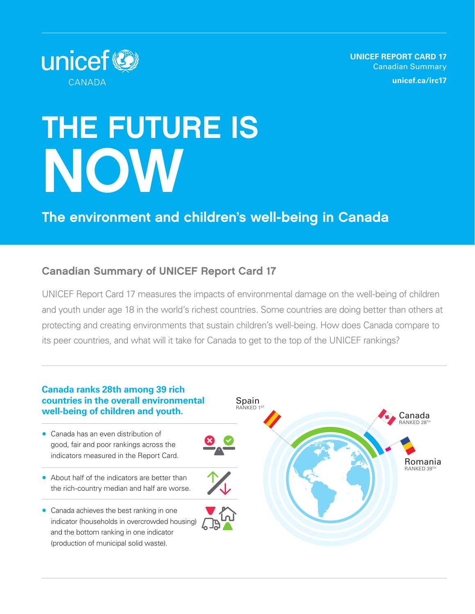**UNICEF REPORT CARD 17** Canadian Summary **[unicef.ca/irc17](https://unicef.ca/irc17)**



# THE FUTURE IS NOW

## The environment and children's well-being in Canada

## Canadian Summary of UNICEF Report Card 17

UNICEF Report Card 17 measures the impacts of environmental damage on the well-being of children and youth under age 18 in the world's richest countries. Some countries are doing better than others at protecting and creating environments that sustain children's well-being. How does Canada compare to its peer countries, and what will it take for Canada to get to the top of the UNICEF rankings?

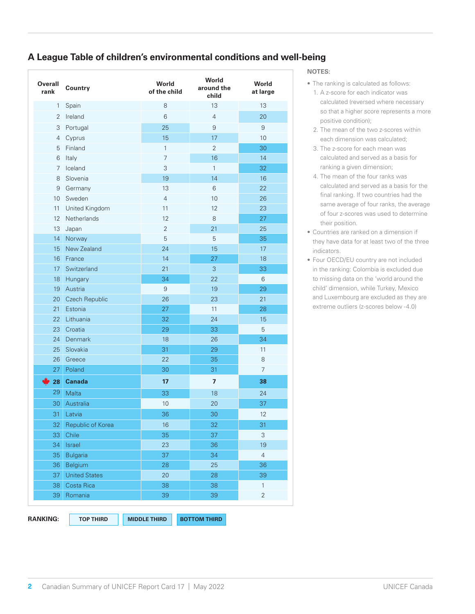## **A League Table of children's environmental conditions and well-being**

| Overall<br>rank          | Country               | World<br>of the child | World<br>around the<br>child | World<br>at large |
|--------------------------|-----------------------|-----------------------|------------------------------|-------------------|
| $\mathbf{1}$             | Spain                 | 8                     | 13                           | 13                |
| $\overline{2}$           | Ireland               | 6                     | $\overline{4}$               | 20                |
| 3                        | Portugal              | 25                    | 9                            | $\overline{9}$    |
| 4                        | Cyprus                | 15                    | 17                           | 10                |
| 5                        | Finland               | $\mathbf{1}$          | $\overline{2}$               | 30                |
| 6                        | Italy                 | $\overline{7}$        | 16                           | 14                |
| 7                        | Iceland               | 3                     | $\mathbf{1}$                 | 32                |
| 8                        | Slovenia              | 19                    | 14                           | 16                |
| 9                        | Germany               | 13                    | 6                            | 22                |
| 10 <sup>°</sup>          | Sweden                | $\overline{4}$        | 10                           | 26                |
| 11                       | United Kingdom        | 11                    | 12                           | 23                |
| 12 <sup>°</sup>          | Netherlands           | 12                    | 8                            | 27                |
| 13                       | Japan                 | $\overline{2}$        | 21                           | 25                |
| 14                       | Norway                | 5                     | 5                            | 35                |
| 15                       | New Zealand           | 24                    | 15                           | 17                |
| 16                       | France                | 14                    | 27                           | 18                |
| 17                       | Switzerland           | 21                    | 3                            | 33                |
| 18                       | Hungary               | 34                    | 22                           | 6                 |
| 19                       | Austria               | 9                     | 19                           | 29                |
| 20                       | <b>Czech Republic</b> | 26                    | 23                           | 21                |
| 21                       | Estonia               | 27                    | 11                           | 28                |
| 22 <sub>2</sub>          | Lithuania             | 32                    | 24                           | 15                |
| 23                       | Croatia               | 29                    | 33                           | 5                 |
| 24                       | <b>Denmark</b>        | 18                    | 26                           | 34                |
| 25                       | Slovakia              | 31                    | 29                           | 11                |
| 26                       | Greece                | 22                    | 35                           | 8                 |
| 27                       | Poland                | 30                    | 31                           | $\overline{7}$    |
| $\blacktriangleright$ 28 | <b>Canada</b>         | 17                    | $\overline{7}$               | 38                |
| 29                       | Malta                 | 33                    | 18                           | 24                |
| 30                       | Australia             | 10                    | 20                           | 37                |
| 31                       | Latvia                | 36                    | 30                           | 12                |
| 32                       | Republic of Korea     | 16                    | 32                           | 31                |
| 33                       | Chile                 | 35                    | 37                           | 3                 |
| 34                       | Israel                | 23                    | 36                           | 19                |
| 35                       | <b>Bulgaria</b>       | 37                    | 34                           | $\overline{4}$    |
| 36                       | Belgium               | 28                    | 25                           | 36                |
| 37                       | <b>United States</b>  | 20                    | 28                           | 39                |
| 38                       | Costa Rica            | 38                    | 38                           | $\mathbf{1}$      |
| 39                       | Romania               | 39                    | 39                           | $\overline{2}$    |

#### **NOTES:**

- The ranking is calculated as follows:
- 1. A z-score for each indicator was calculated (reversed where necessary so that a higher score represents a more positive condition);
- 2. The mean of the two z-scores within each dimension was calculated;
- 3. The z-score for each mean was calculated and served as a basis for ranking a given dimension;
- 4. The mean of the four ranks was calculated and served as a basis for the final ranking. If two countries had the same average of four ranks, the average of four z-scores was used to determine their position.
- Countries are ranked on a dimension if they have data for at least two of the three indicators.
- Four OECD/EU country are not included in the ranking: Colombia is excluded due to missing data on the 'world around the child' dimension, while Turkey, Mexico and Luxembourg are excluded as they are extreme outliers (z-scores below -4.0)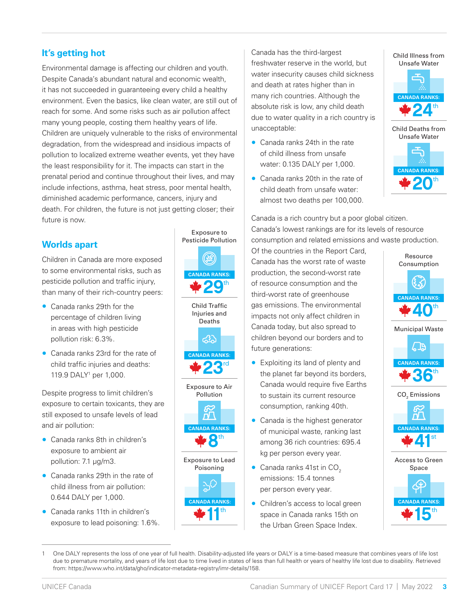## **It's getting hot**

Environmental damage is affecting our children and youth. Despite Canada's abundant natural and economic wealth, it has not succeeded in guaranteeing every child a healthy environment. Even the basics, like clean water, are still out of reach for some. And some risks such as air pollution affect many young people, costing them healthy years of life. Children are uniquely vulnerable to the risks of environmental degradation, from the widespread and insidious impacts of pollution to localized extreme weather events, yet they have the least responsibility for it. The impacts can start in the prenatal period and continue throughout their lives, and may include infections, asthma, heat stress, poor mental health, diminished academic performance, cancers, injury and death. For children, the future is not just getting closer; their future is now.

## **Worlds apart**

Children in Canada are more exposed to some environmental risks, such as pesticide pollution and traffic injury, than many of their rich-country peers:

- Canada ranks 29th for the percentage of children living in areas with high pesticide pollution risk: 6.3%.
- Canada ranks 23rd for the rate of child traffic injuries and deaths: 119.9 DALY1 per 1,000.

Despite progress to limit children's exposure to certain toxicants, they are still exposed to unsafe levels of lead and air pollution:

- Canada ranks 8th in children's exposure to ambient air pollution: 7.1 μg/m3.
- Canada ranks 29th in the rate of child illness from air pollution: 0.644 DALY per 1,000.
- Canada ranks 11th in children's exposure to lead poisoning: 1.6%.







 $D^{\!\top}$ **CANADA RANKS:**  $\mathbf{R}^{\text{th}}$ 

Exposure to Lead Poisoning ے<br>ج **CANADA RANKS:**  $\blacksquare$ th

Canada has the third-largest freshwater reserve in the world, but water insecurity causes child sickness and death at rates higher than in many rich countries. Although the absolute risk is low, any child death due to water quality in a rich country is unacceptable:

- Canada ranks 24th in the rate of child illness from unsafe water: 0.135 DALY per 1,000.
- Canada ranks 20th in the rate of child death from unsafe water: almost two deaths per 100,000.

Child Illness from Unsafe Water



Child Deaths from Unsafe Water



Canada is a rich country but a poor global citizen. Canada's lowest rankings are for its levels of resource consumption and related emissions and waste production.

Of the countries in the Report Card, Canada has the worst rate of waste production, the second-worst rate of resource consumption and the third-worst rate of greenhouse gas emissions. The environmental impacts not only affect children in Canada today, but also spread to children beyond our borders and to future generations:

- **23rd** Canada RANKS:<br>
the planet far beyond its borders, the planet far beyond its borders, Canada would require five Earths Pollution  $\qquad \qquad$  to sustain its current resource  $\qquad \qquad \text{CO}_2$ consumption, ranking 40th.
	- Canada is the highest generator of municipal waste, ranking last among 36 rich countries: 695.4 kg per person every year.
	- Canada ranks 41st in  $CO<sub>2</sub>$ emissions: 15.4 tonnes per person every year.
	- Children's access to local green space in Canada ranks 15th on the Urban Green Space Index.



One DALY represents the loss of one year of full health. Disability-adjusted life years or DALY is a time-based measure that combines years of life lost due to premature mortality, and years of life lost due to time lived in states of less than full health or years of healthy life lost due to disability. Retrieved from: https://www.who.int/data/gho/indicator-metadata-registry/imr-details/158.